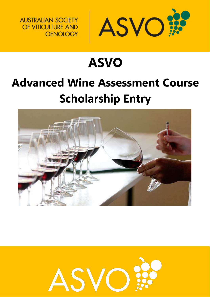

# **ASVO Advanced Wine Assessment Course Scholarship Entry**



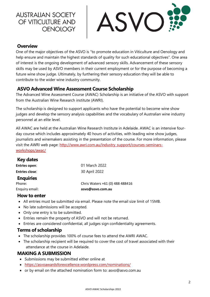

#### **Overview**

One of the major objectives of the ASVO is "to promote education in Viticulture and Oenology and help ensure and maintain the highest standards of quality for such educational objectives". One area of interest is the ongoing development of advanced sensory skills. Advancement of these sensory skills may be used by ASVO members in their current employment or for the purpose of becoming a future wine show judge. Ultimately, by furthering their sensory education they will be able to contribute to the wider wine industry community.

#### **ASVO Advanced Wine Assessment Course Scholarship**

The Advanced Wine Assessment Course (AWAC) Scholarship is an initiative of the ASVO with support from the Australian Wine Research institute (AWRI).

The scholarship is designed to support applicants who have the potential to become wine show judges and develop the sensory analysis capabilities and the vocabulary of Australian wine industry personnel at an elite level.

All AWAC are held at the Australian Wine Research Institute in Adelaide. AWAC is an intensive fourday course which includes approximately 40 hours of activities, with leading wine show judges, journalists and winemakers assisting in the presentation of the course. For more information, please visit the AWRI web page: [http://www.awri.com.au/industry\\_support/courses-seminars](http://www.awri.com.au/industry_support/courses-seminars-workshops/awac/)[workshops/awac/](http://www.awri.com.au/industry_support/courses-seminars-workshops/awac/)

| <b>Key dates</b>      |                                 |
|-----------------------|---------------------------------|
| <b>Entries open:</b>  | 01 March 2022                   |
| <b>Entries close:</b> | 30 April 2022                   |
| <b>Enquiries</b>      |                                 |
| Phone:                | Chris Waters +61 (0) 488 488416 |
| Enquiry email:        | asvo@asvo.com.au                |

#### **How to enter**

- All entries must be submitted via email. Please note the email size limit of 15MB.
- No late submissions will be accepted.
- Only one entry is to be submitted.
- Entries remain the property of ASVO and will not be returned.
- Entries are considered confidential, all judges sign confidentiality agreements.

#### **Terms of scholarship**

- The scholarship provides 100% of course fees to attend the AWRI AWAC.
- The scholarship recipient will be required to cover the cost of travel associated with their attendance at the course in Adelaide.

#### **MAKING A SUBMISSION**

- Submissions may be submitted either online at
- <https://asvoawardsforexcellence.wordpress.com/nominations/>
- or by email on the attached nomination form to: [asvo@asvo.com.au](mailto:asvo@asvo.com.au)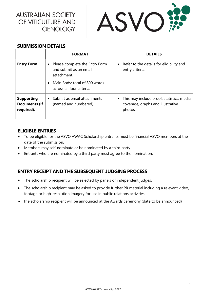

#### **SUBMISSION DETAILS**

|                                                         | <b>FORMAT</b>                                                           | <b>DETAILS</b>                                                                                         |
|---------------------------------------------------------|-------------------------------------------------------------------------|--------------------------------------------------------------------------------------------------------|
| <b>Entry Form</b>                                       | Please complete the Entry Form<br>and submit as an email<br>attachment. | • Refer to the details for eligibility and<br>entry criteria.                                          |
|                                                         | Main Body: total of 800 words<br>across all four criteria.              |                                                                                                        |
| <b>Supporting</b><br><b>Documents (if</b><br>required). | Submit as email attachments<br>(named and numbered).                    | This may include proof, statistics, media<br>$\bullet$<br>coverage, graphs and illustrative<br>photos. |

#### **ELIGIBLE ENTRIES**

- To be eligible for the ASVO AWAC Scholarship entrants must be financial ASVO members at the date of the submission.
- Members may self-nominate or be nominated by a third party.
- Entrants who are nominated by a third party must agree to the nomination.

## **ENTRY RECEIPT AND THE SUBSEQUENT JUDGING PROCESS**

- The scholarship recipient will be selected by panels of independent judges.
- The scholarship recipient may be asked to provide further PR material including a relevant video, footage or high-resolution imagery for use in public relations activities.
- The scholarship recipient will be announced at the Awards ceremony (date to be announced)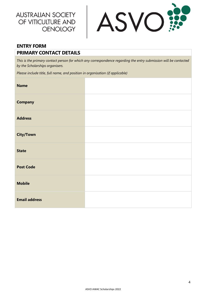

# **ENTRY FORM PRIMARY CONTACT DETAILS**

*This is the primary contact person for which any correspondence regarding the entry submission will be contacted by the Scholarships organisers.*

*Please include title, full name, and position in organisation (if applicable)*

| <b>Name</b>          |  |
|----------------------|--|
| <b>Company</b>       |  |
| <b>Address</b>       |  |
| <b>City/Town</b>     |  |
| <b>State</b>         |  |
| <b>Post Code</b>     |  |
| <b>Mobile</b>        |  |
| <b>Email address</b> |  |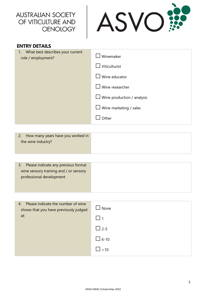

| <b>ENTRY DETAILS</b>                                         |                                   |
|--------------------------------------------------------------|-----------------------------------|
| What best describes your current<br>1.<br>role / employment? | Winemaker                         |
|                                                              | Viticulturist                     |
|                                                              | Wine educator                     |
|                                                              | Wine researcher                   |
|                                                              | $\Box$ Wine production / analysis |
|                                                              | $\Box$ Wine marketing / sales     |
|                                                              | Other                             |

| Please indicate any previous formal    |  |
|----------------------------------------|--|
| wine sensory training and / or sensory |  |
| professional development               |  |
|                                        |  |

| Please indicate the number of wine<br>4.<br>shows that you have previously judged | $\sqcup$ None |
|-----------------------------------------------------------------------------------|---------------|
| at:                                                                               | - 11          |
|                                                                                   | $\Box$ 2-5    |
|                                                                                   | $\Box$ 6-10   |
|                                                                                   | $\Box$ >10    |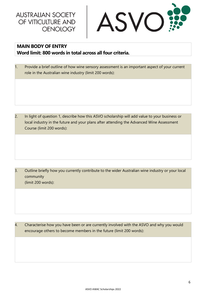

## **MAIN BODY OF ENTRY Word limit: 800 words in total across all four criteria.**

1. Provide a brief outline of how wine sensory assessment is an important aspect of your current role in the Australian wine industry (limit 200 words):

2. In light of question 1, describe how this ASVO scholarship will add value to your business or local industry in the future and your plans after attending the Advanced Wine Assessment Course (limit 200 words):

3. Outline briefly how you currently contribute to the wider Australian wine industry or your local community (limit 200 words):

4. Characterise how you have been or are currently involved with the ASVO and why you would encourage others to become members in the future (limit 200 words):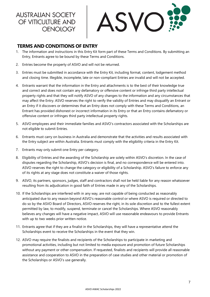

### **TERMS AND CONDITIONS OF ENTRY**

- 1. The information and instructions in this Entry Kit form part of these Terms and Conditions. By submitting an Entry, Entrants agree to be bound by these Terms and Conditions.
- 2. Entries become the property of ASVO and will not be returned.
- 3. Entries must be submitted in accordance with the Entry Kit, including format, content, lodgement method and closing time. Illegible, incomplete, late or non-compliant Entries are invalid and will not be accepted.
- 4. Entrants warrant that the information in the Entry and attachments is to the best of their knowledge true and correct and does not contain any defamatory or offensive content or infringe third party intellectual property rights and that they will notify ASVO of any changes to the information and any circumstances that may affect the Entry. ASVO reserves the right to verify the validity of Entries and may disqualify an Entrant or an Entry if it discovers or determines that an Entry does not comply with these Terms and Conditions, an Entrant has provided dishonest or incorrect information in its Entry or that an Entry contains defamatory or offensive content or infringes third party intellectual property rights.
- 5. ASVO employees and their immediate families and ASVO's contractors associated with the Scholarships are not eligible to submit Entries.
- 6. Entrants must carry on business in Australia and demonstrate that the activities and results associated with the Entry subject are within Australia. Entrants must comply with the eligibility criteria in the Entry Kit.
- 7. Entrants may only submit one Entry per category.
- 8. Eligibility of Entries and the awarding of the Scholarship are solely within ASVO's discretion. In the case of disputes regarding the Scholarship, ASVO's decision is final, and no correspondence will be entered into. ASVO reserves the right to change the category or eligibility of a Scholarship. ASVO's failure to enforce any of its rights at any stage does not constitute a waiver of those rights.
- 9. ASVO, its partners, sponsors, judges, staff and contractors shall not be held liable for any reason whatsoever resulting from its adjudication in good faith of Entries made in any of the Scholarships.
- 10. If the Scholarships are interfered with in any way, are not capable of being conducted as reasonably anticipated due to any reason beyond ASVO's reasonable control or where ASVO is required or directed to do so by the ASVO Board of Directors, ASVO reserves the right, in its sole discretion and to the fullest extent permitted by law, to modify, suspend, terminate or cancel the Scholarships. Where ASVO reasonably believes any changes will have a negative impact, ASVO will use reasonable endeavours to provide Entrants with up to two weeks prior written notice.
- 11. Entrants agree that if they are a finalist in the Scholarships, they will have a representative attend the Scholarships event to receive the Scholarships in the event that they win.
- 12. ASVO may require the finalists and recipients of the Scholarships to participate in marketing and promotional activities, including but not limited to media exposure and promotion of future Scholarships without any payment or other compensation. If requested, finalists and recipients will provide all reasonable assistance and cooperation to ASVO in the preparation of case studies and other material or promotion of the Scholarships or ASVO's use generally.